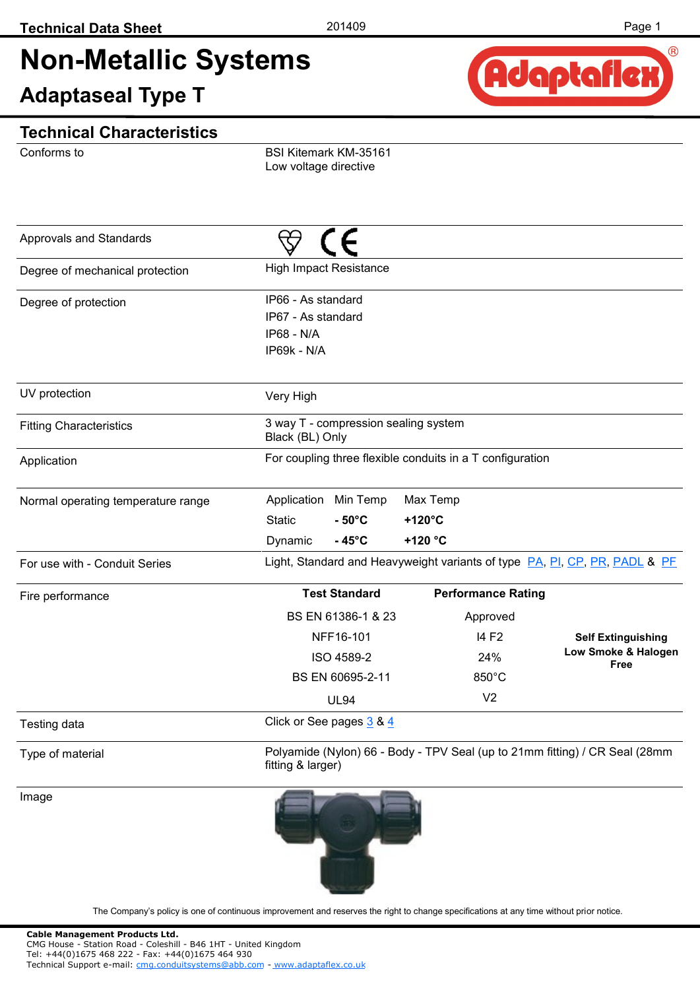## **Adaptaseal Type T**



#### **Technical Characteristics**

Conforms to

BSI Kitemark KM-35161 Low voltage directive

| Approvals and Standards            |                                                                                                  |                               |                  |                                                                                      |                                                                            |  |  |
|------------------------------------|--------------------------------------------------------------------------------------------------|-------------------------------|------------------|--------------------------------------------------------------------------------------|----------------------------------------------------------------------------|--|--|
| Degree of mechanical protection    |                                                                                                  | <b>High Impact Resistance</b> |                  |                                                                                      |                                                                            |  |  |
| Degree of protection               | IP66 - As standard<br>IP67 - As standard<br>IP68 - N/A                                           |                               |                  |                                                                                      |                                                                            |  |  |
|                                    | IP69k - N/A                                                                                      |                               |                  |                                                                                      |                                                                            |  |  |
| UV protection                      | Very High                                                                                        |                               |                  |                                                                                      |                                                                            |  |  |
| <b>Fitting Characteristics</b>     | 3 way T - compression sealing system<br>Black (BL) Only                                          |                               |                  |                                                                                      |                                                                            |  |  |
| Application                        | For coupling three flexible conduits in a T configuration                                        |                               |                  |                                                                                      |                                                                            |  |  |
| Normal operating temperature range | Application                                                                                      | Min Temp                      | Max Temp         |                                                                                      |                                                                            |  |  |
|                                    | <b>Static</b>                                                                                    | $-50^{\circ}$ C               | $+120^{\circ}$ C |                                                                                      |                                                                            |  |  |
|                                    | Dynamic                                                                                          | $-45^{\circ}$ C               | +120 °C          |                                                                                      |                                                                            |  |  |
| For use with - Conduit Series      |                                                                                                  |                               |                  |                                                                                      | Light, Standard and Heavyweight variants of type PA, PI, CP, PR, PADL & PF |  |  |
| Fire performance                   |                                                                                                  | <b>Test Standard</b>          |                  | <b>Performance Rating</b>                                                            |                                                                            |  |  |
|                                    |                                                                                                  | BS EN 61386-1 & 23            |                  | Approved                                                                             |                                                                            |  |  |
|                                    |                                                                                                  | NFF16-101                     |                  | 14 F <sub>2</sub><br><b>Self Extinguishing</b><br>Low Smoke & Halogen<br>24%<br>Free |                                                                            |  |  |
|                                    |                                                                                                  | ISO 4589-2                    |                  |                                                                                      |                                                                            |  |  |
|                                    |                                                                                                  | BS EN 60695-2-11              |                  | 850°C                                                                                |                                                                            |  |  |
|                                    |                                                                                                  | <b>UL94</b>                   |                  | V <sub>2</sub>                                                                       |                                                                            |  |  |
| Testing data                       |                                                                                                  | Click or See pages 3 & 4      |                  |                                                                                      |                                                                            |  |  |
| Type of material                   | Polyamide (Nylon) 66 - Body - TPV Seal (up to 21mm fitting) / CR Seal (28mm<br>fitting & larger) |                               |                  |                                                                                      |                                                                            |  |  |
| Image                              |                                                                                                  |                               |                  |                                                                                      |                                                                            |  |  |

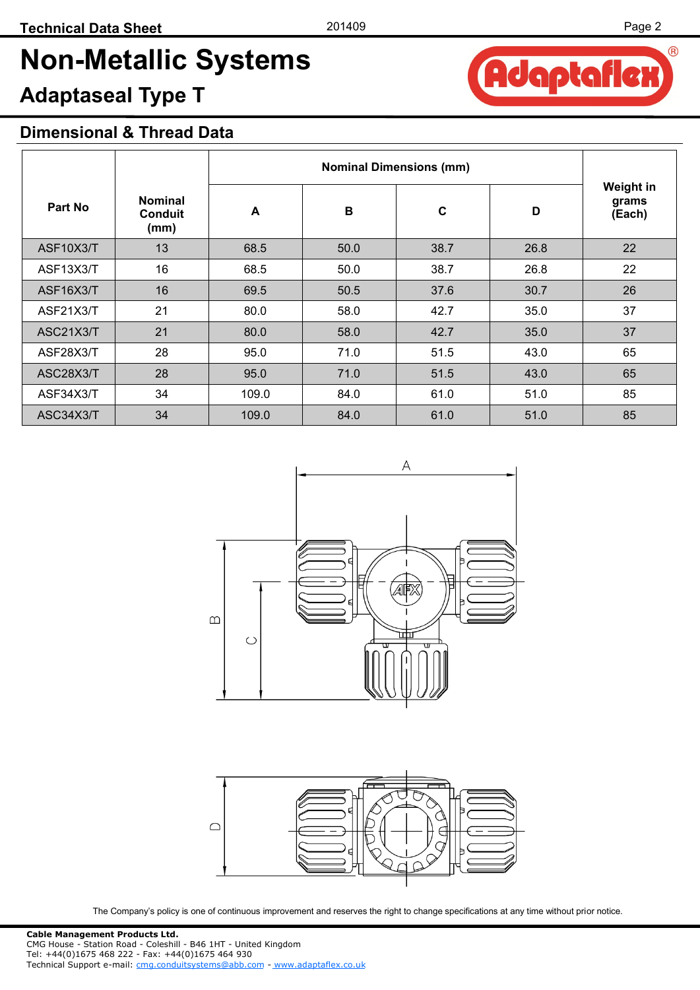## **Adaptaseal Type T**

### **Dimensional & Thread Data**

| Part No   | <b>Nominal</b><br><b>Conduit</b><br>(mm) | A     | B    | $\mathbf c$ | D    | Weight in<br>grams<br>(Each) |
|-----------|------------------------------------------|-------|------|-------------|------|------------------------------|
| ASF10X3/T | 13                                       | 68.5  | 50.0 | 38.7        | 26.8 | 22                           |
| ASF13X3/T | 16                                       | 68.5  | 50.0 | 38.7        | 26.8 | 22                           |
| ASF16X3/T | 16                                       | 69.5  | 50.5 | 37.6        | 30.7 | 26                           |
| ASF21X3/T | 21                                       | 80.0  | 58.0 | 42.7        | 35.0 | 37                           |
| ASC21X3/T | 21                                       | 80.0  | 58.0 | 42.7        | 35.0 | 37                           |
| ASF28X3/T | 28                                       | 95.0  | 71.0 | 51.5        | 43.0 | 65                           |
| ASC28X3/T | 28                                       | 95.0  | 71.0 | 51.5        | 43.0 | 65                           |
| ASF34X3/T | 34                                       | 109.0 | 84.0 | 61.0        | 51.0 | 85                           |
| ASC34X3/T | 34                                       | 109.0 | 84.0 | 61.0        | 51.0 | 85                           |





The Company's policy is one of continuous improvement and reserves the right to change specifications at any time without prior notice.

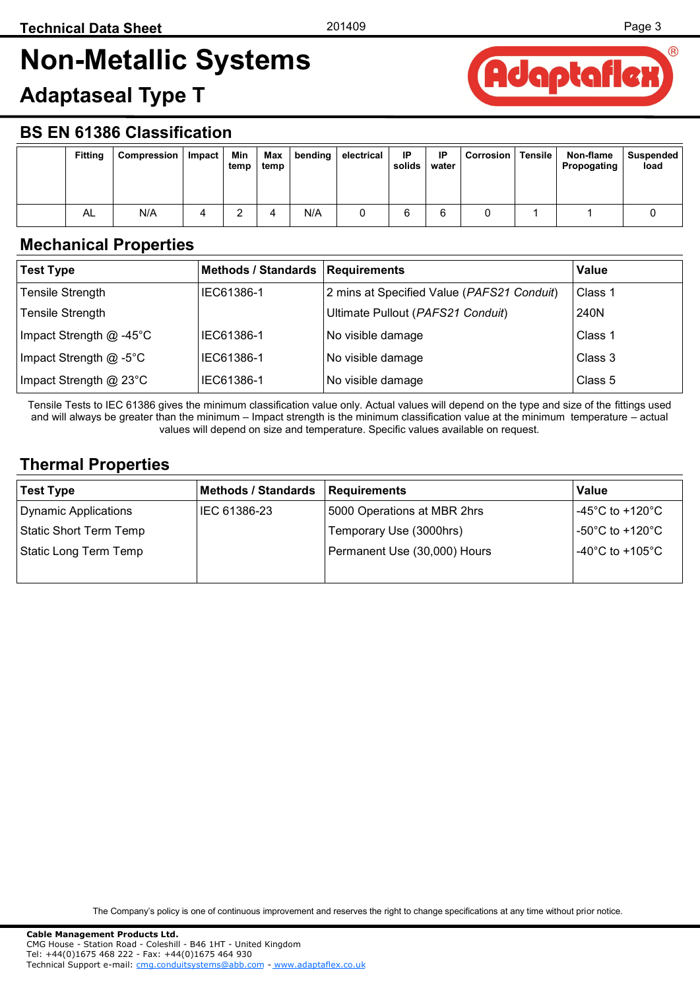## <span id="page-2-0"></span>**Adaptaseal Type T**



#### **BS EN 61386 Classification**

| <b>Fitting</b> | Compression | <b>Impact</b> | Min<br>temp | Max<br>temp | bending | electrical | IP<br>solids | IP<br>water | <b>Corrosion Tensile</b> | Non-flame<br>Propogating | <b>Suspended</b><br>load |
|----------------|-------------|---------------|-------------|-------------|---------|------------|--------------|-------------|--------------------------|--------------------------|--------------------------|
| AL             | N/A         |               |             |             | N/A     |            |              |             |                          |                          |                          |

#### **Mechanical Properties**

| <b>Test Type</b>          | Methods / Standards   Requirements |                                            | Value   |
|---------------------------|------------------------------------|--------------------------------------------|---------|
| <b>Tensile Strength</b>   | IEC61386-1                         | 2 mins at Specified Value (PAFS21 Conduit) | Class 1 |
| <b>Tensile Strength</b>   |                                    | Ultimate Pullout (PAFS21 Conduit)          | 240N    |
| Impact Strength $@$ -45°C | IEC61386-1                         | No visible damage                          | Class 1 |
| Impact Strength @ -5°C    | IEC61386-1                         | No visible damage                          | Class 3 |
| Impact Strength @ 23°C    | IEC61386-1                         | No visible damage                          | Class 5 |

Tensile Tests to IEC 61386 gives the minimum classification value only. Actual values will depend on the type and size of the fittings used and will always be greater than the minimum – Impact strength is the minimum classification value at the minimum temperature – actual values will depend on size and temperature. Specific values available on request.

### **Thermal Properties**

| <b>Test Type</b>       | <b>Methods / Standards</b> | <b>Requirements</b>          | Value           |
|------------------------|----------------------------|------------------------------|-----------------|
| Dynamic Applications   | IEC 61386-23               | 5000 Operations at MBR 2hrs  | -45°C to +120°C |
| Static Short Term Temp |                            | Temporary Use (3000hrs)      | -50°C to +120°C |
| Static Long Term Temp  |                            | Permanent Use (30,000) Hours | -40°C to +105°C |
|                        |                            |                              |                 |

The Company's policy is one of continuous improvement and reserves the right to change specifications at any time without prior notice.